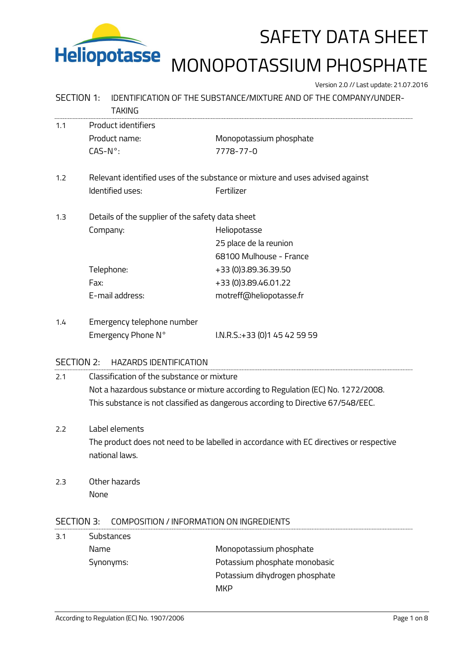

# Heliopotasse MONOPOTASSIUM PHOSPHATE

Version 2.0 // Last update: 21.07.2016

### SECTION 1: IDENTIFICATION OF THE SUBSTANCE/MIXTURE AND OF THE COMPANY/UNDER-

|                   | <b>TAKING</b>                                                                                             |                                |  |  |  |
|-------------------|-----------------------------------------------------------------------------------------------------------|--------------------------------|--|--|--|
| 1.1               | Product identifiers                                                                                       |                                |  |  |  |
|                   | Product name:                                                                                             | Monopotassium phosphate        |  |  |  |
|                   | $CAS-N^{\circ}$ :                                                                                         | 7778-77-0                      |  |  |  |
| 1.2               | Relevant identified uses of the substance or mixture and uses advised against                             |                                |  |  |  |
|                   | Identified uses:                                                                                          | Fertilizer                     |  |  |  |
| 1.3               | Details of the supplier of the safety data sheet                                                          |                                |  |  |  |
|                   | Company:                                                                                                  | Heliopotasse                   |  |  |  |
|                   |                                                                                                           | 25 place de la reunion         |  |  |  |
|                   |                                                                                                           | 68100 Mulhouse - France        |  |  |  |
|                   | Telephone:                                                                                                | +33 (0)3.89.36.39.50           |  |  |  |
|                   | Fax:                                                                                                      | +33 (0) 3.89.46.01.22          |  |  |  |
|                   | E-mail address:                                                                                           | motreff@heliopotasse.fr        |  |  |  |
| 1.4               | Emergency telephone number                                                                                |                                |  |  |  |
|                   | Emergency Phone N°                                                                                        | I.N.R.S.:+33 (0)1 45 42 59 59  |  |  |  |
| <b>SECTION 2:</b> | <b>HAZARDS IDENTIFICATION</b>                                                                             |                                |  |  |  |
| 2.1               | Classification of the substance or mixture                                                                |                                |  |  |  |
|                   | Not a hazardous substance or mixture according to Regulation (EC) No. 1272/2008.                          |                                |  |  |  |
|                   | This substance is not classified as dangerous according to Directive 67/548/EEC.                          |                                |  |  |  |
|                   |                                                                                                           |                                |  |  |  |
| 2.2               | Label elements                                                                                            |                                |  |  |  |
|                   | The product does not need to be labelled in accordance with EC directives or respective<br>national laws. |                                |  |  |  |
|                   |                                                                                                           |                                |  |  |  |
| 2.3               | Other hazards                                                                                             |                                |  |  |  |
|                   | None                                                                                                      |                                |  |  |  |
| <b>SECTION 3:</b> | COMPOSITION / INFORMATION ON INGREDIENTS                                                                  |                                |  |  |  |
| 3.1               | Substances                                                                                                |                                |  |  |  |
|                   | Name                                                                                                      | Monopotassium phosphate        |  |  |  |
|                   | Synonyms:                                                                                                 | Potassium phosphate monobasic  |  |  |  |
|                   |                                                                                                           | Potassium dihydrogen phosphate |  |  |  |
|                   |                                                                                                           |                                |  |  |  |
|                   |                                                                                                           | <b>MKP</b>                     |  |  |  |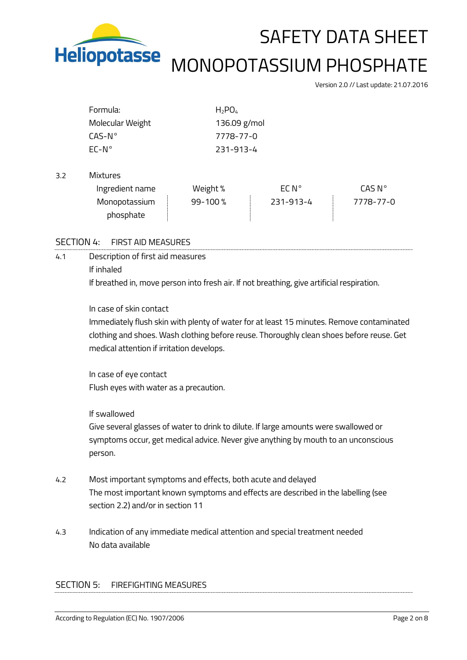

 $3.2$ 

### SAFETY DATA SHEET

## MONOPOTASSIUM PHOSPHATE

Version 2.0 // Last update: 21.07.2016

| Formula:         | $H_2PO_4$ |              |                    |  |
|------------------|-----------|--------------|--------------------|--|
| Molecular Weight |           | 136.09 g/mol |                    |  |
| $CAS-N^{\circ}$  |           | 7778-77-0    |                    |  |
| $EC-N^{\circ}$   | 231-913-4 |              |                    |  |
|                  |           |              |                    |  |
| <b>Mixtures</b>  |           |              |                    |  |
| Ingredient name  | Weight %  | EC N°        | CAS N <sup>o</sup> |  |
| Monopotassium    | 99-100%   | 231-913-4    | 7778-77-0          |  |
| phosphate        |           |              |                    |  |

### SECTION 4: FIRST AID MEASURES

4.1 Description of first aid measures If inhaled If breathed in, move person into fresh air. If not breathing, give artificial respiration.

### In case of skin contact

Immediately flush skin with plenty of water for at least 15 minutes. Remove contaminated clothing and shoes. Wash clothing before reuse. Thoroughly clean shoes before reuse. Get medical attention if irritation develops.

In case of eye contact Flush eyes with water as a precaution.

#### If swallowed

Give several glasses of water to drink to dilute. If large amounts were swallowed or symptoms occur, get medical advice. Never give anything by mouth to an unconscious person.

- 4.2 Most important symptoms and effects, both acute and delayed The most important known symptoms and effects are described in the labelling (see section 2.2) and/or in section 11
- 4.3 Indication of any immediate medical attention and special treatment needed No data available

### SECTION 5: FIREFIGHTING MEASURES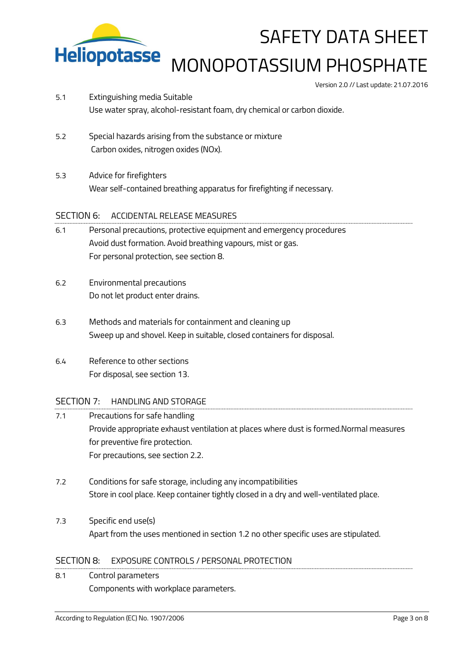

# MONOPOTASSIUM PHOSPHATE

Version 2.0 // Last update: 21.07.2016

- 5.1 Extinguishing media Suitable Use water spray, alcohol-resistant foam, dry chemical or carbon dioxide.
- 5.2 Special hazards arising from the substance or mixture Carbon oxides, nitrogen oxides (NOx).
- 5.3 Advice for firefighters Wear self-contained breathing apparatus for firefighting if necessary.

### SECTION 6: ACCIDENTAL RELEASE MEASURES

- 6.1 Personal precautions, protective equipment and emergency procedures Avoid dust formation. Avoid breathing vapours, mist or gas. For personal protection, see section 8.
- 6.2 Environmental precautions Do not let product enter drains.
- 6.3 Methods and materials for containment and cleaning up Sweep up and shovel. Keep in suitable, closed containers for disposal.
- 6.4 Reference to other sections For disposal, see section 13.

### SECTION 7: HANDLING AND STORAGE

- 7.1 Precautions for safe handling Provide appropriate exhaust ventilation at places where dust is formed.Normal measures for preventive fire protection. For precautions, see section 2.2.
- 7.2 Conditions for safe storage, including any incompatibilities Store in cool place. Keep container tightly closed in a dry and well-ventilated place.
- 7.3 Specific end use(s) Apart from the uses mentioned in section 1.2 no other specific uses are stipulated.

### SECTION 8: EXPOSURE CONTROLS / PERSONAL PROTECTION

8.1 Control parameters Components with workplace parameters.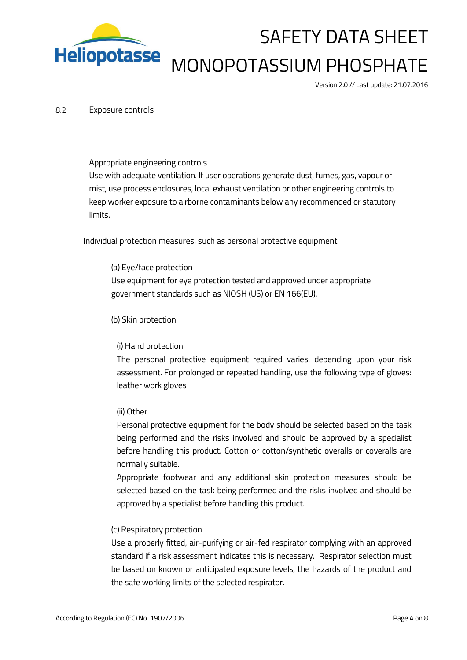

# SAFETY DATA SHEET MONOPOTASSIUM PHOSPHATE

Version 2.0 // Last update: 21.07.2016

#### 8.2 Exposure controls

#### Appropriate engineering controls

Use with adequate ventilation. If user operations generate dust, fumes, gas, vapour or mist, use process enclosures, local exhaust ventilation or other engineering controls to keep worker exposure to airborne contaminants below any recommended or statutory limits.

Individual protection measures, such as personal protective equipment

(a) Eye/face protection Use equipment for eye protection tested and approved under appropriate government standards such as NIOSH (US) or EN 166(EU).

#### (b) Skin protection

### (i) Hand protection

The personal protective equipment required varies, depending upon your risk assessment. For prolonged or repeated handling, use the following type of gloves: leather work gloves

### (ii) Other

Personal protective equipment for the body should be selected based on the task being performed and the risks involved and should be approved by a specialist before handling this product. Cotton or cotton/synthetic overalls or coveralls are normally suitable.

Appropriate footwear and any additional skin protection measures should be selected based on the task being performed and the risks involved and should be approved by a specialist before handling this product.

### (c) Respiratory protection

Use a properly fitted, air-purifying or air-fed respirator complying with an approved standard if a risk assessment indicates this is necessary. Respirator selection must be based on known or anticipated exposure levels, the hazards of the product and the safe working limits of the selected respirator.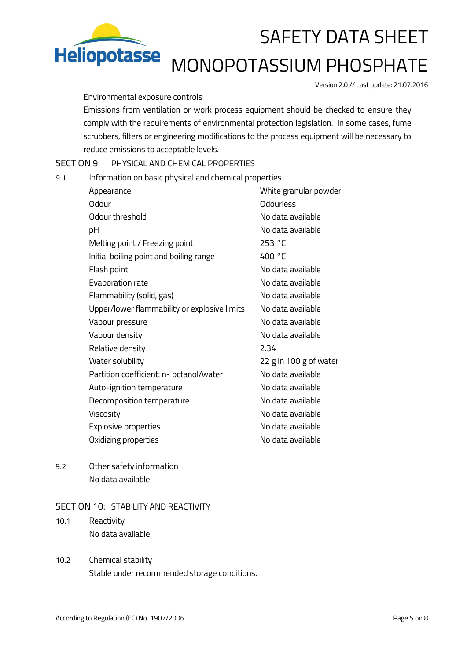

# MONOPOTASSIUM PHOSPHATE

Version 2.0 // Last update: 21.07.2016

### Environmental exposure controls

Emissions from ventilation or work process equipment should be checked to ensure they comply with the requirements of environmental protection legislation. In some cases, fume scrubbers, filters or engineering modifications to the process equipment will be necessary to reduce emissions to acceptable levels.

SECTION 9: PHYSICAL AND CHEMICAL PROPERTIES

| 9.1 | Information on basic physical and chemical properties |                        |  |  |
|-----|-------------------------------------------------------|------------------------|--|--|
|     | Appearance                                            | White granular powder  |  |  |
|     | Odour                                                 | Odourless              |  |  |
|     | Odour threshold                                       | No data available      |  |  |
|     | рH                                                    | No data available      |  |  |
|     | Melting point / Freezing point                        | 253 °C                 |  |  |
|     | Initial boiling point and boiling range               | 400 °C                 |  |  |
|     | Flash point                                           | No data available      |  |  |
|     | Evaporation rate                                      | No data available      |  |  |
|     | Flammability (solid, gas)                             | No data available      |  |  |
|     | Upper/lower flammability or explosive limits          | No data available      |  |  |
|     | Vapour pressure                                       | No data available      |  |  |
|     | Vapour density                                        | No data available      |  |  |
|     | Relative density                                      | 2.34                   |  |  |
|     | Water solubility                                      | 22 g in 100 g of water |  |  |
|     | Partition coefficient: n- octanol/water               | No data available      |  |  |
|     | Auto-ignition temperature                             | No data available      |  |  |
|     | Decomposition temperature                             | No data available      |  |  |
|     | Viscosity                                             | No data available      |  |  |
|     | Explosive properties                                  | No data available      |  |  |
|     | Oxidizing properties                                  | No data available      |  |  |

9.2 Other safety information No data available

### SECTION 10: STABILITY AND REACTIVITY

- 10.1 Reactivity No data available
- 10.2 Chemical stability Stable under recommended storage conditions.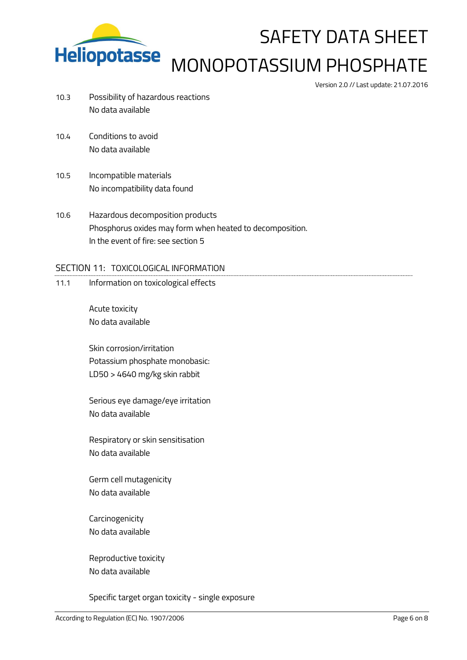

# SAFETY DATA SHEET MONOPOTASSIUM PHOSPHATE

Version 2.0 // Last update: 21.07.2016

- 10.3 Possibility of hazardous reactions No data available
- 10.4 Conditions to avoid No data available
- 10.5 Incompatible materials No incompatibility data found
- 10.6 Hazardous decomposition products Phosphorus oxides may form when heated to decomposition. In the event of fire: see section 5

### SECTION 11: TOXICOLOGICAL INFORMATION

11.1 Information on toxicological effects

Acute toxicity No data available

Skin corrosion/irritation Potassium phosphate monobasic: LD50 > 4640 mg/kg skin rabbit

Serious eye damage/eye irritation No data available

Respiratory or skin sensitisation No data available

Germ cell mutagenicity No data available

Carcinogenicity No data available

Reproductive toxicity No data available

Specific target organ toxicity - single exposure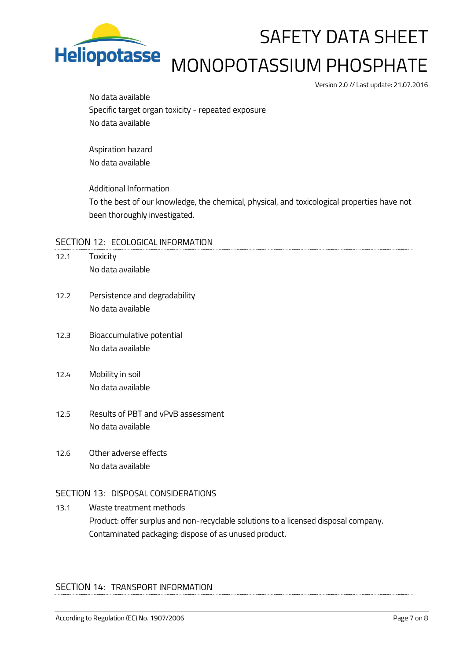

# MONOPOTASSIUM PHOSPHATE

Version 2.0 // Last update: 21.07.2016

No data available Specific target organ toxicity - repeated exposure No data available

Aspiration hazard No data available

Additional Information To the best of our knowledge, the chemical, physical, and toxicological properties have not been thoroughly investigated.

### SECTION 12: ECOLOGICAL INFORMATION

- 12.1 Toxicity No data available
- 12.2 Persistence and degradability No data available
- 12.3 Bioaccumulative potential No data available
- 12.4 Mobility in soil No data available
- 12.5 Results of PBT and vPvB assessment No data available
- 12.6 Other adverse effects No data available

### SECTION 13: DISPOSAL CONSIDERATIONS

13.1 Waste treatment methods Product: offer surplus and non-recyclable solutions to a licensed disposal company. Contaminated packaging: dispose of as unused product.

### SECTION 14: TRANSPORT INFORMATION